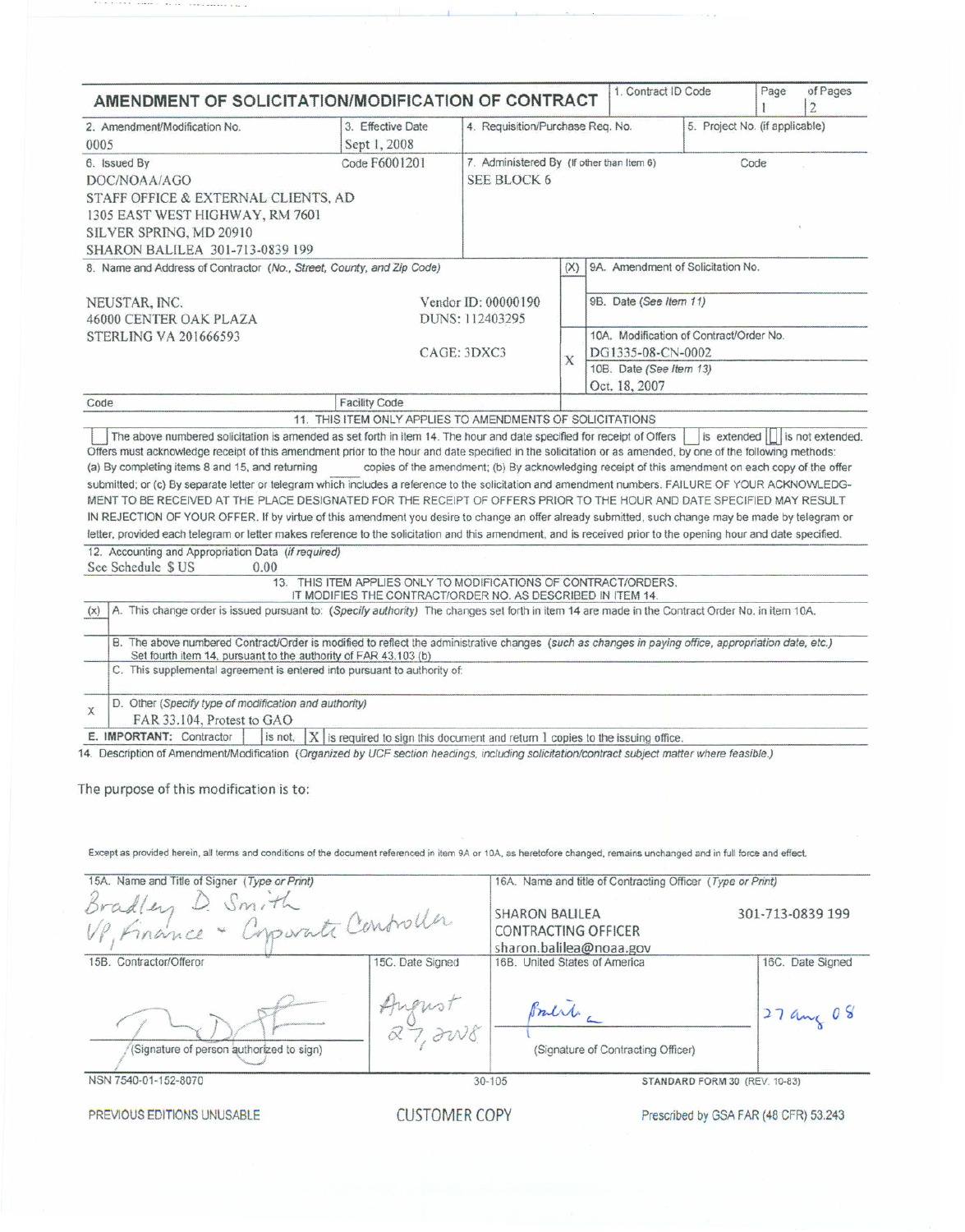| 2. Amendment/Modification No.<br>0005                                                                                                                                                                                                                                                                                                                                                                                                                                                                                                                                                                                                                                                                                                                                                                                                                                      | 3. Effective Date<br>Sept 1, 2008                                                                                              |                                                          | AMENDMENT OF SOLICITATION/MODIFICATION OF CONTRACT<br>4. Requisition/Purchase Req. No.<br>5. Project No. (if applicable)                |                                                            |  |      | $\overline{2}$                    |
|----------------------------------------------------------------------------------------------------------------------------------------------------------------------------------------------------------------------------------------------------------------------------------------------------------------------------------------------------------------------------------------------------------------------------------------------------------------------------------------------------------------------------------------------------------------------------------------------------------------------------------------------------------------------------------------------------------------------------------------------------------------------------------------------------------------------------------------------------------------------------|--------------------------------------------------------------------------------------------------------------------------------|----------------------------------------------------------|-----------------------------------------------------------------------------------------------------------------------------------------|------------------------------------------------------------|--|------|-----------------------------------|
| 6. Issued By<br>DOC/NOAA/AGO<br>STAFF OFFICE & EXTERNAL CLIENTS, AD<br>1305 EAST WEST HIGHWAY, RM 7601<br>SILVER SPRING, MD 20910<br>SHARON BALILEA 301-713-0839 199                                                                                                                                                                                                                                                                                                                                                                                                                                                                                                                                                                                                                                                                                                       | Code F6001201                                                                                                                  | 7. Administered By (If other than Item 6)<br>SEE BLOCK 6 |                                                                                                                                         |                                                            |  | Code |                                   |
| 8. Name and Address of Contractor (No., Street, County, and Zip Code)                                                                                                                                                                                                                                                                                                                                                                                                                                                                                                                                                                                                                                                                                                                                                                                                      |                                                                                                                                |                                                          | (X)                                                                                                                                     | 9A. Amendment of Solicitation No.                          |  |      |                                   |
| NEUSTAR, INC.<br>46000 CENTER OAK PLAZA<br><b>STERLING VA 201666593</b>                                                                                                                                                                                                                                                                                                                                                                                                                                                                                                                                                                                                                                                                                                                                                                                                    |                                                                                                                                | Vendor ID: 00000190<br>DUNS: 112403295<br>CAGE: 3DXC3    | 9B. Date (See Item 11)<br>10A. Modification of Contract/Order No.<br>DG1335-08-CN-0002<br>X<br>10B. Date (See Item 13)<br>Oct. 18, 2007 |                                                            |  |      |                                   |
| Code                                                                                                                                                                                                                                                                                                                                                                                                                                                                                                                                                                                                                                                                                                                                                                                                                                                                       | <b>Facility Code</b>                                                                                                           |                                                          |                                                                                                                                         |                                                            |  |      |                                   |
|                                                                                                                                                                                                                                                                                                                                                                                                                                                                                                                                                                                                                                                                                                                                                                                                                                                                            | 11. THIS ITEM ONLY APPLIES TO AMENDMENTS OF SOLICITATIONS                                                                      |                                                          |                                                                                                                                         |                                                            |  |      |                                   |
| IN REJECTION OF YOUR OFFER. If by virtue of this amendment you desire to change an offer already submitted, such change may be made by telegram or<br>letter, provided each telegram or letter makes reference to the solicitation and this amendment, and is received prior to the opening hour and date specified.<br>12. Accounting and Appropriation Data (if required)<br>See Schedule \$ US<br>0.00<br>A. This change order is issued pursuant to: (Specify authority) The changes set forth in item 14 are made in the Contract Order No. in item 10A.<br>(x)<br>B. The above numbered Contract/Order is modified to reflect the administrative changes (such as changes in paying office, appropriation date, etc.)<br>Set fourth item 14, pursuant to the authority of FAR 43.103 (b)<br>C. This supplemental agreement is entered into pursuant to authority of: | 13. THIS ITEM APPLIES ONLY TO MODIFICATIONS OF CONTRACT/ORDERS.<br>IT MODIFIES THE CONTRACT/ORDER NO. AS DESCRIBED IN ITEM 14. |                                                          |                                                                                                                                         |                                                            |  |      |                                   |
| D. Other (Specify type of modification and authority)<br>X                                                                                                                                                                                                                                                                                                                                                                                                                                                                                                                                                                                                                                                                                                                                                                                                                 |                                                                                                                                |                                                          |                                                                                                                                         |                                                            |  |      |                                   |
| FAR 33.104, Protest to GAO<br>E. IMPORTANT: Contractor                                                                                                                                                                                                                                                                                                                                                                                                                                                                                                                                                                                                                                                                                                                                                                                                                     | is not, $ X $ is required to sign this document and return 1 copies to the issuing office.                                     |                                                          |                                                                                                                                         |                                                            |  |      |                                   |
| 14. Description of Amendment/Modification (Organized by UCF section headings, including solicitation/contract subject matter where feasible.)<br>The purpose of this modification is to:<br>Except as provided herein, all terms and conditions of the document referenced in item 9A or 10A, as heretofore changed, remains unchanged and in full force and effect.                                                                                                                                                                                                                                                                                                                                                                                                                                                                                                       |                                                                                                                                |                                                          |                                                                                                                                         |                                                            |  |      |                                   |
|                                                                                                                                                                                                                                                                                                                                                                                                                                                                                                                                                                                                                                                                                                                                                                                                                                                                            |                                                                                                                                |                                                          |                                                                                                                                         | 16A. Name and title of Contracting Officer (Type or Print) |  |      |                                   |
| 15A. Name and Title of Signer (Type or Print)                                                                                                                                                                                                                                                                                                                                                                                                                                                                                                                                                                                                                                                                                                                                                                                                                              |                                                                                                                                |                                                          |                                                                                                                                         |                                                            |  |      |                                   |
|                                                                                                                                                                                                                                                                                                                                                                                                                                                                                                                                                                                                                                                                                                                                                                                                                                                                            |                                                                                                                                | <b>SHARON BALILEA</b><br>CONTRACTING OFFICER             |                                                                                                                                         | sharon.balilea@noaa.gov                                    |  |      | 301-713-0839 199                  |
| Bradley D. Smith<br>Bradley D. Smith<br>110 Linance + Copparate Controller<br>15B. Contractor/Offeror<br>(Signature of person authorized to sign)                                                                                                                                                                                                                                                                                                                                                                                                                                                                                                                                                                                                                                                                                                                          | 15C. Date Signed<br>Angust<br>27, IW8                                                                                          | 16B. United States of America<br>Bull -                  |                                                                                                                                         | (Signature of Contracting Officer)                         |  |      | 16C. Date Signed<br>$27$ and $08$ |

. . . . . . . . . . . . .